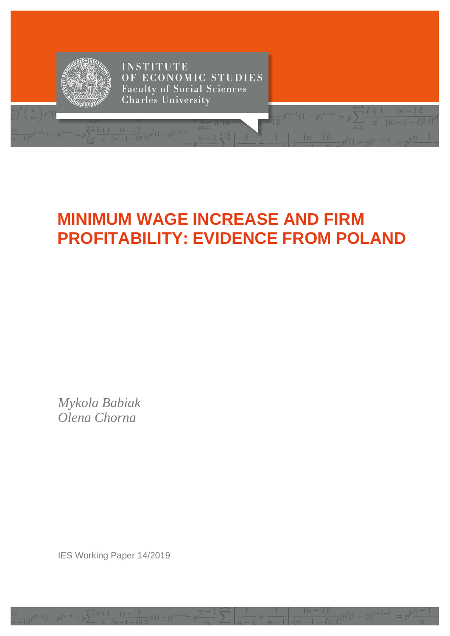

# **MINIMUM WAGE INCREASE AND FIRM PROFITABILITY: EVIDENCE FROM POLAND**

Mykola Babiak Olena Chorna

IES Working Paper 14/2019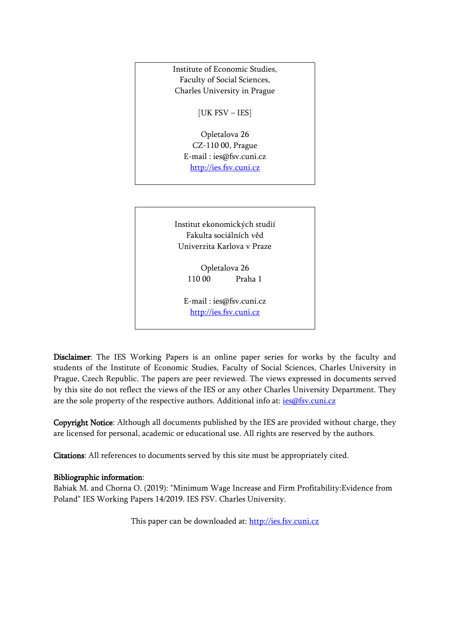

[http://ies.fsv.cuni.cz](http://ies.fsv.cuni.cz/)

Disclaimer: The IES Working Papers is an online paper series for works by the faculty and students of the Institute of Economic Studies, Faculty of Social Sciences, Charles University in Prague, Czech Republic. The papers are peer reviewed. The views expressed in documents served by this site do not reflect the views of the IES or any other Charles University Department. They are the sole property of the respective authors. Additional info at: [ies@fsv.cuni.cz](mailto:ies@fsv.cuni.cz)

Copyright Notice: Although all documents published by the IES are provided without charge, they are licensed for personal, academic or educational use. All rights are reserved by the authors.

Citations: All references to documents served by this site must be appropriately cited.

## Bibliographic information:

Babiak M. and Chorna O. (2019): "Minimum Wage Increase and Firm Profitability:Evidence from Poland" IES Working Papers 14/2019. IES FSV. Charles University.

This paper can be downloaded at: [http://ies.fsv.cuni.cz](http://ies.fsv.cuni.cz/)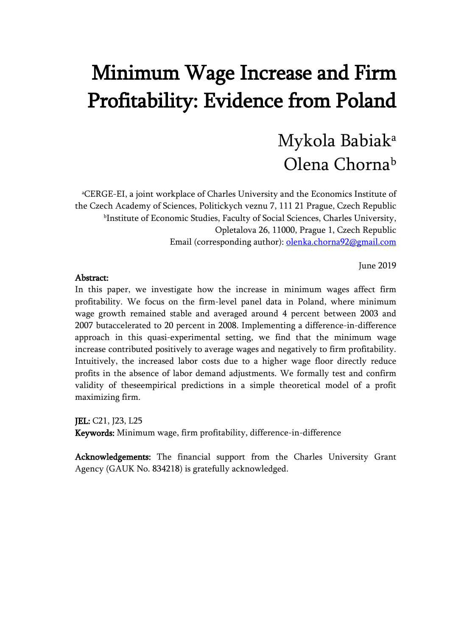# Minimum Wage Increase and Firm Profitability: Evidence from Poland

# Mykola Babiaka Olena Chorna<sup>b</sup>

a CERGE-EI, a joint workplace of Charles University and the Economics Institute of the Czech Academy of Sciences, Politickych veznu 7, 111 21 Prague, Czech Republic bInstitute of Economic Studies, Faculty of Social Sciences, Charles University, Opletalova 26, 11000, Prague 1, Czech Republic Email (corresponding author): [olenka.chorna92@gmail.com](mailto:olenka.chorna92@gmail.com)

June 2019

### Abstract:

In this paper, we investigate how the increase in minimum wages affect firm profitability. We focus on the firm-level panel data in Poland, where minimum wage growth remained stable and averaged around 4 percent between 2003 and 2007 butaccelerated to 20 percent in 2008. Implementing a difference-in-difference approach in this quasi-experimental setting, we find that the minimum wage increase contributed positively to average wages and negatively to firm profitability. Intuitively, the increased labor costs due to a higher wage floor directly reduce profits in the absence of labor demand adjustments. We formally test and confirm validity of theseempirical predictions in a simple theoretical model of a profit maximizing firm.

JEL: C21, J23, L25 Keywords: Minimum wage, firm profitability, difference-in-difference

Acknowledgements: The financial support from the Charles University Grant Agency (GAUK No. 834218) is gratefully acknowledged.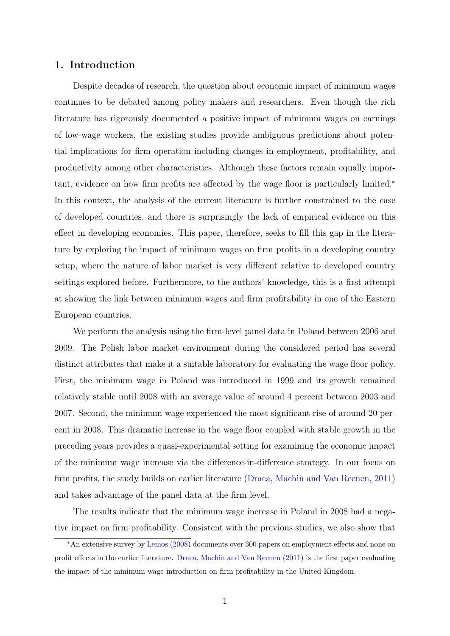# <span id="page-3-0"></span>1. Introduction

Despite decades of research, the question about economic impact of minimum wages continues to be debated among policy makers and researchers. Even though the rich literature has rigorously documented a positive impact of minimum wages on earnings of low-wage workers, the existing studies provide ambiguous predictions about potential implications for firm operation including changes in employment, profitability, and productivity among other characteristics. Although these factors remain equally important, evidence on how firm profits are affected by the wage floor is particularly limited.<sup>∗</sup> In this context, the analysis of the current literature is further constrained to the case of developed countries, and there is surprisingly the lack of empirical evidence on this effect in developing economies. This paper, therefore, seeks to fill this gap in the literature by exploring the impact of minimum wages on firm profits in a developing country setup, where the nature of labor market is very different relative to developed country settings explored before. Furthermore, to the authors' knowledge, this is a first attempt at showing the link between minimum wages and firm profitability in one of the Eastern European countries.

We perform the analysis using the firm-level panel data in Poland between 2006 and 2009. The Polish labor market environment during the considered period has several distinct attributes that make it a suitable laboratory for evaluating the wage floor policy. First, the minimum wage in Poland was introduced in 1999 and its growth remained relatively stable until 2008 with an average value of around 4 percent between 2003 and 2007. Second, the minimum wage experienced the most significant rise of around 20 percent in 2008. This dramatic increase in the wage floor coupled with stable growth in the preceding years provides a quasi-experimental setting for examining the economic impact of the minimum wage increase via the difference-in-difference strategy. In our focus on firm profits, the study builds on earlier literature [\(Draca, Machin and Van Reenen,](#page-22-0) [2011\)](#page-22-0) and takes advantage of the panel data at the firm level.

The results indicate that the minimum wage increase in Poland in 2008 had a negative impact on firm profitability. Consistent with the previous studies, we also show that

<sup>∗</sup>An extensive survey by [Lemos](#page-23-0) [\(2008\)](#page-23-0) documents over 300 papers on employment effects and none on profit effects in the earlier literature. [Draca, Machin and Van Reenen](#page-22-0) [\(2011\)](#page-22-0) is the first paper evaluating the impact of the minimum wage introduction on firm profitability in the United Kingdom.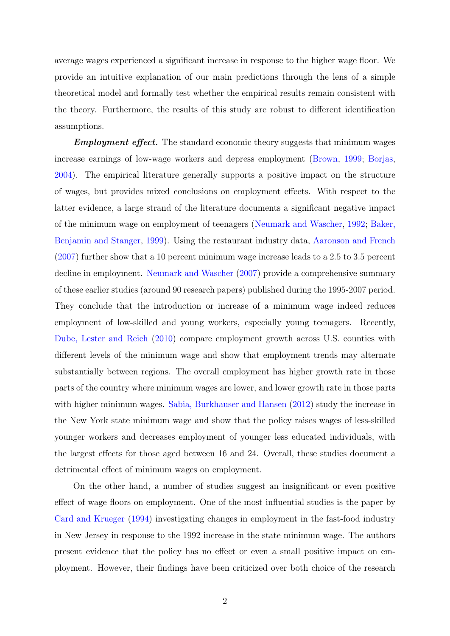average wages experienced a significant increase in response to the higher wage floor. We provide an intuitive explanation of our main predictions through the lens of a simple theoretical model and formally test whether the empirical results remain consistent with the theory. Furthermore, the results of this study are robust to different identification assumptions.

**Employment effect.** The standard economic theory suggests that minimum wages increase earnings of low-wage workers and depress employment [\(Brown,](#page-22-1) [1999;](#page-22-1) [Borjas,](#page-22-2) [2004\)](#page-22-2). The empirical literature generally supports a positive impact on the structure of wages, but provides mixed conclusions on employment effects. With respect to the latter evidence, a large strand of the literature documents a significant negative impact of the minimum wage on employment of teenagers [\(Neumark and Wascher,](#page-23-1) [1992;](#page-23-1) [Baker,](#page-22-3) [Benjamin and Stanger,](#page-22-3) [1999\)](#page-22-3). Using the restaurant industry data, [Aaronson and French](#page-22-4) [\(2007\)](#page-22-4) further show that a 10 percent minimum wage increase leads to a 2.5 to 3.5 percent decline in employment. [Neumark and Wascher](#page-23-2) [\(2007\)](#page-23-2) provide a comprehensive summary of these earlier studies (around 90 research papers) published during the 1995-2007 period. They conclude that the introduction or increase of a minimum wage indeed reduces employment of low-skilled and young workers, especially young teenagers. Recently, [Dube, Lester and Reich](#page-22-5) [\(2010\)](#page-22-5) compare employment growth across U.S. counties with different levels of the minimum wage and show that employment trends may alternate substantially between regions. The overall employment has higher growth rate in those parts of the country where minimum wages are lower, and lower growth rate in those parts with higher minimum wages. [Sabia, Burkhauser and Hansen](#page-23-3) [\(2012\)](#page-23-3) study the increase in the New York state minimum wage and show that the policy raises wages of less-skilled younger workers and decreases employment of younger less educated individuals, with the largest effects for those aged between 16 and 24. Overall, these studies document a detrimental effect of minimum wages on employment.

On the other hand, a number of studies suggest an insignificant or even positive effect of wage floors on employment. One of the most influential studies is the paper by [Card and Krueger](#page-22-6) [\(1994\)](#page-22-6) investigating changes in employment in the fast-food industry in New Jersey in response to the 1992 increase in the state minimum wage. The authors present evidence that the policy has no effect or even a small positive impact on employment. However, their findings have been criticized over both choice of the research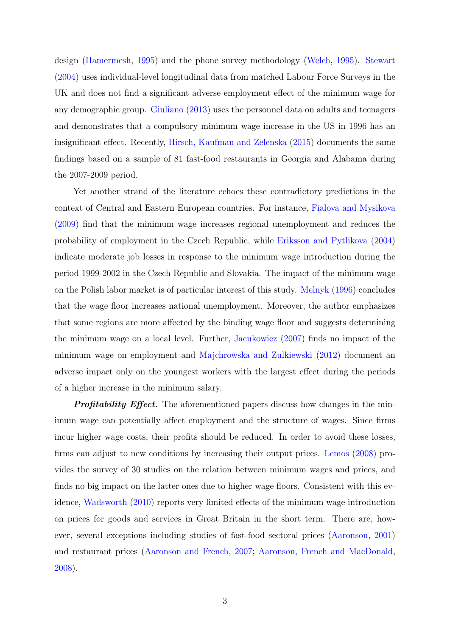design [\(Hamermesh,](#page-23-4) [1995\)](#page-23-4) and the phone survey methodology [\(Welch,](#page-23-5) [1995\)](#page-23-5). [Stewart](#page-23-6) [\(2004\)](#page-23-6) uses individual-level longitudinal data from matched Labour Force Surveys in the UK and does not find a significant adverse employment effect of the minimum wage for any demographic group. [Giuliano](#page-23-7) [\(2013\)](#page-23-7) uses the personnel data on adults and teenagers and demonstrates that a compulsory minimum wage increase in the US in 1996 has an insignificant effect. Recently, [Hirsch, Kaufman and Zelenska](#page-23-8) [\(2015\)](#page-23-8) documents the same findings based on a sample of 81 fast-food restaurants in Georgia and Alabama during the 2007-2009 period.

Yet another strand of the literature echoes these contradictory predictions in the context of Central and Eastern European countries. For instance, [Fialova and Mysikova](#page-22-7) [\(2009\)](#page-22-7) find that the minimum wage increases regional unemployment and reduces the probability of employment in the Czech Republic, while [Eriksson and Pytlikova](#page-22-8) [\(2004\)](#page-22-8) indicate moderate job losses in response to the minimum wage introduction during the period 1999-2002 in the Czech Republic and Slovakia. The impact of the minimum wage on the Polish labor market is of particular interest of this study. [Melnyk](#page-23-9) [\(1996\)](#page-23-9) concludes that the wage floor increases national unemployment. Moreover, the author emphasizes that some regions are more affected by the binding wage floor and suggests determining the minimum wage on a local level. Further, [Jacukowicz](#page-23-10) [\(2007\)](#page-23-10) finds no impact of the minimum wage on employment and [Majchrowska and Zulkiewski](#page-23-11) [\(2012\)](#page-23-11) document an adverse impact only on the youngest workers with the largest effect during the periods of a higher increase in the minimum salary.

**Profitability Effect.** The aforementioned papers discuss how changes in the minimum wage can potentially affect employment and the structure of wages. Since firms incur higher wage costs, their profits should be reduced. In order to avoid these losses, firms can adjust to new conditions by increasing their output prices. [Lemos](#page-23-0) [\(2008\)](#page-23-0) provides the survey of 30 studies on the relation between minimum wages and prices, and finds no big impact on the latter ones due to higher wage floors. Consistent with this evidence, [Wadsworth](#page-23-12) [\(2010\)](#page-23-12) reports very limited effects of the minimum wage introduction on prices for goods and services in Great Britain in the short term. There are, however, several exceptions including studies of fast-food sectoral prices [\(Aaronson,](#page-22-9) [2001\)](#page-22-9) and restaurant prices [\(Aaronson and French,](#page-22-4) [2007;](#page-22-4) [Aaronson, French and MacDonald,](#page-22-10) [2008\)](#page-22-10).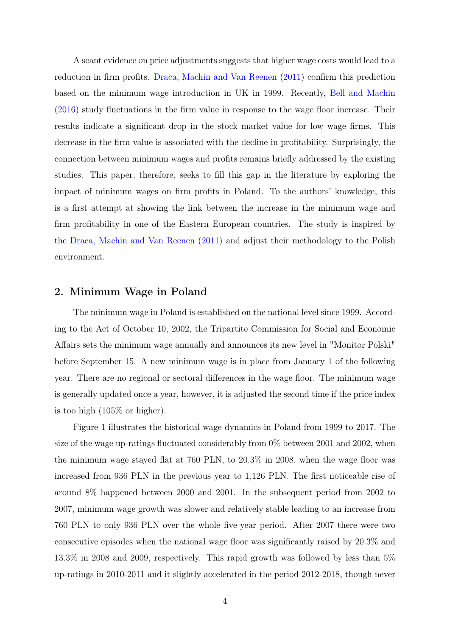A scant evidence on price adjustments suggests that higher wage costs would lead to a reduction in firm profits. [Draca, Machin and Van Reenen](#page-22-0) [\(2011\)](#page-22-0) confirm this prediction based on the minimum wage introduction in UK in 1999. Recently, [Bell and Machin](#page-22-11) [\(2016\)](#page-22-11) study fluctuations in the firm value in response to the wage floor increase. Their results indicate a significant drop in the stock market value for low wage firms. This decrease in the firm value is associated with the decline in profitability. Surprisingly, the connection between minimum wages and profits remains briefly addressed by the existing studies. This paper, therefore, seeks to fill this gap in the literature by exploring the impact of minimum wages on firm profits in Poland. To the authors' knowledge, this is a first attempt at showing the link between the increase in the minimum wage and firm profitability in one of the Eastern European countries. The study is inspired by the [Draca, Machin and Van Reenen](#page-22-0) [\(2011\)](#page-22-0) and adjust their methodology to the Polish environment.

### 2. Minimum Wage in Poland

The minimum wage in Poland is established on the national level since 1999. According to the Act of October 10, 2002, the Tripartite Commission for Social and Economic Affairs sets the minimum wage annually and announces its new level in "Monitor Polski" before September 15. A new minimum wage is in place from January 1 of the following year. There are no regional or sectoral differences in the wage floor. The minimum wage is generally updated once a year, however, it is adjusted the second time if the price index is too high (105% or higher).

Figure 1 illustrates the historical wage dynamics in Poland from 1999 to 2017. The size of the wage up-ratings fluctuated considerably from 0% between 2001 and 2002, when the minimum wage stayed flat at 760 PLN, to 20.3% in 2008, when the wage floor was increased from 936 PLN in the previous year to 1,126 PLN. The first noticeable rise of around 8% happened between 2000 and 2001. In the subsequent period from 2002 to 2007, minimum wage growth was slower and relatively stable leading to an increase from 760 PLN to only 936 PLN over the whole five-year period. After 2007 there were two consecutive episodes when the national wage floor was significantly raised by 20.3% and 13.3% in 2008 and 2009, respectively. This rapid growth was followed by less than 5% up-ratings in 2010-2011 and it slightly accelerated in the period 2012-2018, though never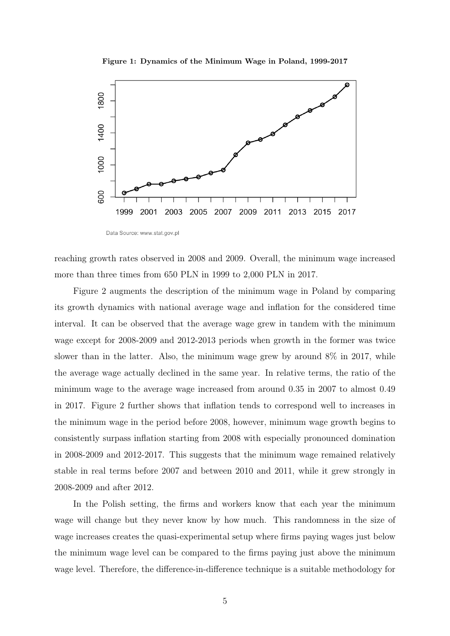Figure 1: Dynamics of the Minimum Wage in Poland, 1999-2017



reaching growth rates observed in 2008 and 2009. Overall, the minimum wage increased more than three times from 650 PLN in 1999 to 2,000 PLN in 2017.

Figure 2 augments the description of the minimum wage in Poland by comparing its growth dynamics with national average wage and inflation for the considered time interval. It can be observed that the average wage grew in tandem with the minimum wage except for 2008-2009 and 2012-2013 periods when growth in the former was twice slower than in the latter. Also, the minimum wage grew by around 8% in 2017, while the average wage actually declined in the same year. In relative terms, the ratio of the minimum wage to the average wage increased from around 0.35 in 2007 to almost 0.49 in 2017. Figure 2 further shows that inflation tends to correspond well to increases in the minimum wage in the period before 2008, however, minimum wage growth begins to consistently surpass inflation starting from 2008 with especially pronounced domination in 2008-2009 and 2012-2017. This suggests that the minimum wage remained relatively stable in real terms before 2007 and between 2010 and 2011, while it grew strongly in 2008-2009 and after 2012.

In the Polish setting, the firms and workers know that each year the minimum wage will change but they never know by how much. This randomness in the size of wage increases creates the quasi-experimental setup where firms paying wages just below the minimum wage level can be compared to the firms paying just above the minimum wage level. Therefore, the difference-in-difference technique is a suitable methodology for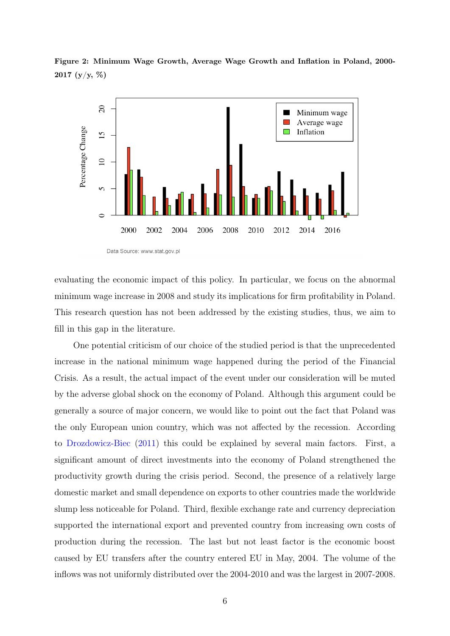

Figure 2: Minimum Wage Growth, Average Wage Growth and Inflation in Poland, 2000- 2017 (y/y, %)

evaluating the economic impact of this policy. In particular, we focus on the abnormal minimum wage increase in 2008 and study its implications for firm profitability in Poland. This research question has not been addressed by the existing studies, thus, we aim to fill in this gap in the literature.

One potential criticism of our choice of the studied period is that the unprecedented increase in the national minimum wage happened during the period of the Financial Crisis. As a result, the actual impact of the event under our consideration will be muted by the adverse global shock on the economy of Poland. Although this argument could be generally a source of major concern, we would like to point out the fact that Poland was the only European union country, which was not affected by the recession. According to [Drozdowicz-Biec](#page-22-12) [\(2011\)](#page-22-12) this could be explained by several main factors. First, a significant amount of direct investments into the economy of Poland strengthened the productivity growth during the crisis period. Second, the presence of a relatively large domestic market and small dependence on exports to other countries made the worldwide slump less noticeable for Poland. Third, flexible exchange rate and currency depreciation supported the international export and prevented country from increasing own costs of production during the recession. The last but not least factor is the economic boost caused by EU transfers after the country entered EU in May, 2004. The volume of the inflows was not uniformly distributed over the 2004-2010 and was the largest in 2007-2008.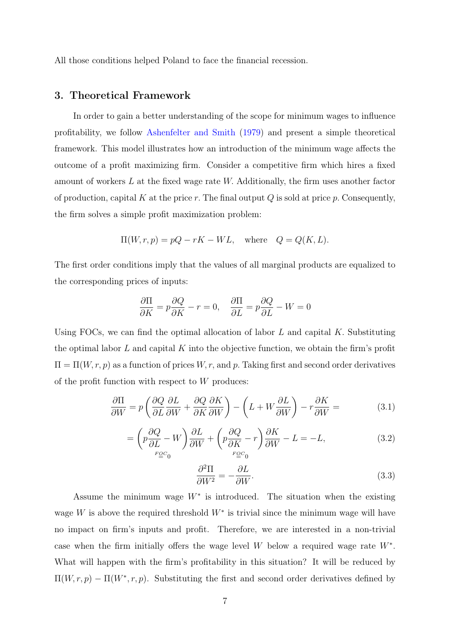All those conditions helped Poland to face the financial recession.

## 3. Theoretical Framework

In order to gain a better understanding of the scope for minimum wages to influence profitability, we follow [Ashenfelter and Smith](#page-22-13) [\(1979\)](#page-22-13) and present a simple theoretical framework. This model illustrates how an introduction of the minimum wage affects the outcome of a profit maximizing firm. Consider a competitive firm which hires a fixed amount of workers  $L$  at the fixed wage rate  $W$ . Additionally, the firm uses another factor of production, capital K at the price r. The final output  $Q$  is sold at price p. Consequently, the firm solves a simple profit maximization problem:

$$
\Pi(W, r, p) = pQ - rK - WL, \text{ where } Q = Q(K, L).
$$

The first order conditions imply that the values of all marginal products are equalized to the corresponding prices of inputs:

$$
\frac{\partial \Pi}{\partial K} = p \frac{\partial Q}{\partial K} - r = 0, \quad \frac{\partial \Pi}{\partial L} = p \frac{\partial Q}{\partial L} - W = 0
$$

Using FOCs, we can find the optimal allocation of labor  $L$  and capital  $K$ . Substituting the optimal labor L and capital K into the objective function, we obtain the firm's profit  $\Pi = \Pi(W, r, p)$  as a function of prices  $W, r$ , and p. Taking first and second order derivatives of the profit function with respect to  $W$  produces:

<span id="page-9-0"></span>
$$
\frac{\partial \Pi}{\partial W} = p \left( \frac{\partial Q}{\partial L} \frac{\partial L}{\partial W} + \frac{\partial Q}{\partial K} \frac{\partial K}{\partial W} \right) - \left( L + W \frac{\partial L}{\partial W} \right) - r \frac{\partial K}{\partial W} = \tag{3.1}
$$

$$
= \left( p \frac{\partial Q}{\partial L} - W \right) \frac{\partial L}{\partial W} + \left( p \frac{\partial Q}{\partial K} - r \right) \frac{\partial K}{\partial W} - L = -L, \tag{3.2}
$$

<span id="page-9-1"></span>
$$
\frac{\partial^2 \Pi}{\partial W^2} = -\frac{\partial L}{\partial W}.\tag{3.3}
$$

Assume the minimum wage  $W^*$  is introduced. The situation when the existing wage W is above the required threshold  $W^*$  is trivial since the minimum wage will have no impact on firm's inputs and profit. Therefore, we are interested in a non-trivial case when the firm initially offers the wage level W below a required wage rate  $W^*$ . What will happen with the firm's profitability in this situation? It will be reduced by  $\Pi(W, r, p) - \Pi(W^*, r, p)$ . Substituting the first and second order derivatives defined by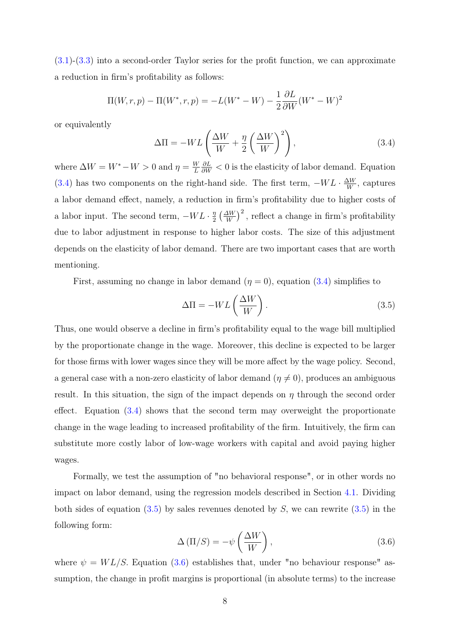[\(3.1\)](#page-9-0)-[\(3.3\)](#page-9-1) into a second-order Taylor series for the profit function, we can approximate a reduction in firm's profitability as follows:

$$
\Pi(W, r, p) - \Pi(W^*, r, p) = -L(W^* - W) - \frac{1}{2} \frac{\partial L}{\partial W} (W^* - W)^2
$$

or equivalently

<span id="page-10-0"></span>
$$
\Delta \Pi = -WL \left( \frac{\Delta W}{W} + \frac{\eta}{2} \left( \frac{\Delta W}{W} \right)^2 \right),\tag{3.4}
$$

where  $\Delta W = W^* - W > 0$  and  $\eta = \frac{W}{L}$ L  $\frac{\partial L}{\partial W}$  < 0 is the elasticity of labor demand. Equation [\(3.4\)](#page-10-0) has two components on the right-hand side. The first term,  $-WL \cdot \frac{\Delta W}{W}$  $\frac{\Delta W}{W}$ , captures a labor demand effect, namely, a reduction in firm's profitability due to higher costs of a labor input. The second term,  $-WL \cdot \frac{\eta}{2}$  $\frac{\eta}{2} \left(\frac{\Delta W}{W}\right)^2$ , reflect a change in firm's profitability due to labor adjustment in response to higher labor costs. The size of this adjustment depends on the elasticity of labor demand. There are two important cases that are worth mentioning.

First, assuming no change in labor demand  $(\eta = 0)$ , equation  $(3.4)$  simplifies to

<span id="page-10-1"></span>
$$
\Delta \Pi = -WL \left( \frac{\Delta W}{W} \right). \tag{3.5}
$$

Thus, one would observe a decline in firm's profitability equal to the wage bill multiplied by the proportionate change in the wage. Moreover, this decline is expected to be larger for those firms with lower wages since they will be more affect by the wage policy. Second, a general case with a non-zero elasticity of labor demand  $(\eta \neq 0)$ , produces an ambiguous result. In this situation, the sign of the impact depends on  $\eta$  through the second order effect. Equation [\(3.4\)](#page-10-0) shows that the second term may overweight the proportionate change in the wage leading to increased profitability of the firm. Intuitively, the firm can substitute more costly labor of low-wage workers with capital and avoid paying higher wages.

Formally, we test the assumption of "no behavioral response", or in other words no impact on labor demand, using the regression models described in Section [4.1.](#page-11-0) Dividing both sides of equation  $(3.5)$  by sales revenues denoted by S, we can rewrite  $(3.5)$  in the following form:

<span id="page-10-2"></span>
$$
\Delta(\Pi/S) = -\psi\left(\frac{\Delta W}{W}\right),\tag{3.6}
$$

where  $\psi = WL/S$ . Equation [\(3.6\)](#page-10-2) establishes that, under "no behaviour response" assumption, the change in profit margins is proportional (in absolute terms) to the increase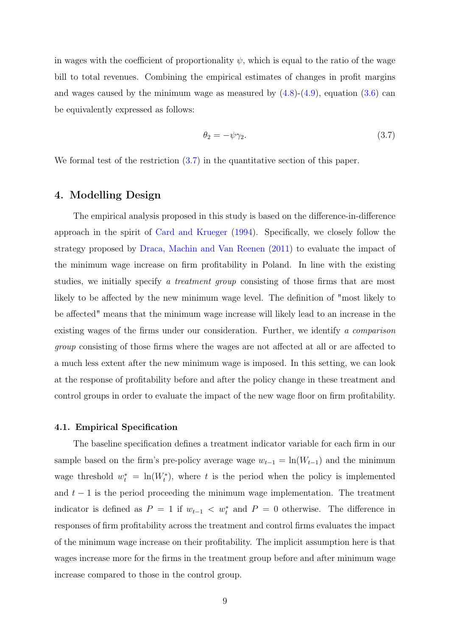in wages with the coefficient of proportionality  $\psi$ , which is equal to the ratio of the wage bill to total revenues. Combining the empirical estimates of changes in profit margins and wages caused by the minimum wage as measured by  $(4.8)-(4.9)$  $(4.8)-(4.9)$  $(4.8)-(4.9)$ , equation  $(3.6)$  can be equivalently expressed as follows:

<span id="page-11-1"></span>
$$
\theta_2 = -\psi \gamma_2. \tag{3.7}
$$

We formal test of the restriction  $(3.7)$  in the quantitative section of this paper.

## 4. Modelling Design

The empirical analysis proposed in this study is based on the difference-in-difference approach in the spirit of [Card and Krueger](#page-22-6) [\(1994\)](#page-22-6). Specifically, we closely follow the strategy proposed by [Draca, Machin and Van Reenen](#page-22-0) [\(2011\)](#page-22-0) to evaluate the impact of the minimum wage increase on firm profitability in Poland. In line with the existing studies, we initially specify a treatment group consisting of those firms that are most likely to be affected by the new minimum wage level. The definition of "most likely to be affected" means that the minimum wage increase will likely lead to an increase in the existing wages of the firms under our consideration. Further, we identify a comparison group consisting of those firms where the wages are not affected at all or are affected to a much less extent after the new minimum wage is imposed. In this setting, we can look at the response of profitability before and after the policy change in these treatment and control groups in order to evaluate the impact of the new wage floor on firm profitability.

#### <span id="page-11-0"></span>4.1. Empirical Specification

The baseline specification defines a treatment indicator variable for each firm in our sample based on the firm's pre-policy average wage  $w_{t-1} = \ln(W_{t-1})$  and the minimum wage threshold  $w_t^* = \ln(W_t^*)$ , where t is the period when the policy is implemented and  $t-1$  is the period proceeding the minimum wage implementation. The treatment indicator is defined as  $P = 1$  if  $w_{t-1} < w_t^*$  and  $P = 0$  otherwise. The difference in responses of firm profitability across the treatment and control firms evaluates the impact of the minimum wage increase on their profitability. The implicit assumption here is that wages increase more for the firms in the treatment group before and after minimum wage increase compared to those in the control group.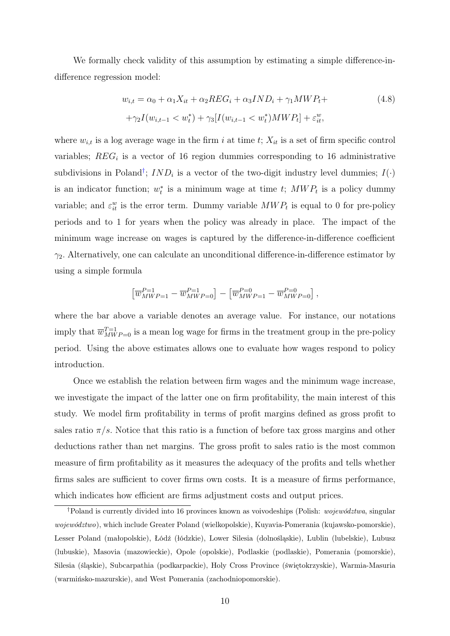We formally check validity of this assumption by estimating a simple difference-indifference regression model:

<span id="page-12-0"></span>
$$
w_{i,t} = \alpha_0 + \alpha_1 X_{it} + \alpha_2 REG_i + \alpha_3 IND_i + \gamma_1 MWP_t +
$$
  
+
$$
\gamma_2 I(w_{i,t-1} < w_t^*) + \gamma_3 [I(w_{i,t-1} < w_t^*) MWP_t] + \varepsilon_{it}^w,
$$
\n(4.8)

where  $w_{i,t}$  is a log average wage in the firm i at time t;  $X_{it}$  is a set of firm specific control variables;  $REG_i$  is a vector of 16 region dummies corresponding to 16 administrative subdivisions in Poland<sup>[†](#page-3-0)</sup>;  $IND_i$  is a vector of the two-digit industry level dummies;  $I(\cdot)$ is an indicator function;  $w_t^*$  is a minimum wage at time t;  $MWP_t$  is a policy dummy variable; and  $\varepsilon_{it}^w$  is the error term. Dummy variable  $MWP_t$  is equal to 0 for pre-policy periods and to 1 for years when the policy was already in place. The impact of the minimum wage increase on wages is captured by the difference-in-difference coefficient  $\gamma_2$ . Alternatively, one can calculate an unconditional difference-in-difference estimator by using a simple formula

$$
\left[\overline{w}_{\mathit{MWP}=1}^{\mathit{P}=1}-\overline{w}_{\mathit{MWP}=0}^{\mathit{P}=1}\right] - \left[\overline{w}_{\mathit{MWP}=1}^{\mathit{P}=0}-\overline{w}_{\mathit{MWP}=0}^{\mathit{P}=0}\right],
$$

where the bar above a variable denotes an average value. For instance, our notations imply that  $\overline{w}_{MWP=0}^{T=1}$  is a mean log wage for firms in the treatment group in the pre-policy period. Using the above estimates allows one to evaluate how wages respond to policy introduction.

Once we establish the relation between firm wages and the minimum wage increase, we investigate the impact of the latter one on firm profitability, the main interest of this study. We model firm profitability in terms of profit margins defined as gross profit to sales ratio  $\pi/s$ . Notice that this ratio is a function of before tax gross margins and other deductions rather than net margins. The gross profit to sales ratio is the most common measure of firm profitability as it measures the adequacy of the profits and tells whether firms sales are sufficient to cover firms own costs. It is a measure of firms performance, which indicates how efficient are firms adjustment costs and output prices.

<sup>†</sup>Poland is currently divided into 16 provinces known as voivodeships (Polish: województwa, singular województwo), which include Greater Poland (wielkopolskie), Kuyavia-Pomerania (kujawsko-pomorskie), Lesser Poland (małopolskie), Łódź (łódzkie), Lower Silesia (dolnośląskie), Lublin (lubelskie), Lubusz (lubuskie), Masovia (mazowieckie), Opole (opolskie), Podlaskie (podlaskie), Pomerania (pomorskie), Silesia (śląskie), Subcarpathia (podkarpackie), Holy Cross Province (świętokrzyskie), Warmia-Masuria (warmińsko-mazurskie), and West Pomerania (zachodniopomorskie).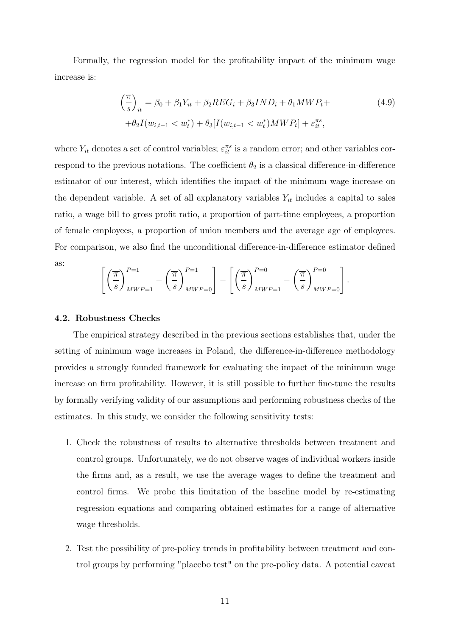Formally, the regression model for the profitability impact of the minimum wage increase is:

<span id="page-13-0"></span>
$$
\left(\frac{\pi}{s}\right)_{it} = \beta_0 + \beta_1 Y_{it} + \beta_2 REG_i + \beta_3 IND_i + \theta_1 MWP_t +
$$
  
+  $\theta_2 I(w_{i,t-1} < w_t^*) + \theta_3 [I(w_{i,t-1} < w_t^*) MWP_t] + \varepsilon_{it}^{\pi s},$ \n
$$
(4.9)
$$

where  $Y_{it}$  denotes a set of control variables;  $\varepsilon_{it}^{\pi s}$  is a random error; and other variables correspond to the previous notations. The coefficient  $\theta_2$  is a classical difference-in-difference estimator of our interest, which identifies the impact of the minimum wage increase on the dependent variable. A set of all explanatory variables  $Y_{it}$  includes a capital to sales ratio, a wage bill to gross profit ratio, a proportion of part-time employees, a proportion of female employees, a proportion of union members and the average age of employees. For comparison, we also find the unconditional difference-in-difference estimator defined as:

$$
\left[ \left( \frac{\overline{\pi}}{s} \right)_{MWP=1}^{P=1} - \left( \frac{\overline{\pi}}{s} \right)_{MWP=0}^{P=1} \right] - \left[ \left( \frac{\overline{\pi}}{s} \right)_{MWP=1}^{P=0} - \left( \frac{\overline{\pi}}{s} \right)_{MWP=0}^{P=0} \right].
$$

#### 4.2. Robustness Checks

The empirical strategy described in the previous sections establishes that, under the setting of minimum wage increases in Poland, the difference-in-difference methodology provides a strongly founded framework for evaluating the impact of the minimum wage increase on firm profitability. However, it is still possible to further fine-tune the results by formally verifying validity of our assumptions and performing robustness checks of the estimates. In this study, we consider the following sensitivity tests:

- 1. Check the robustness of results to alternative thresholds between treatment and control groups. Unfortunately, we do not observe wages of individual workers inside the firms and, as a result, we use the average wages to define the treatment and control firms. We probe this limitation of the baseline model by re-estimating regression equations and comparing obtained estimates for a range of alternative wage thresholds.
- 2. Test the possibility of pre-policy trends in profitability between treatment and control groups by performing "placebo test" on the pre-policy data. A potential caveat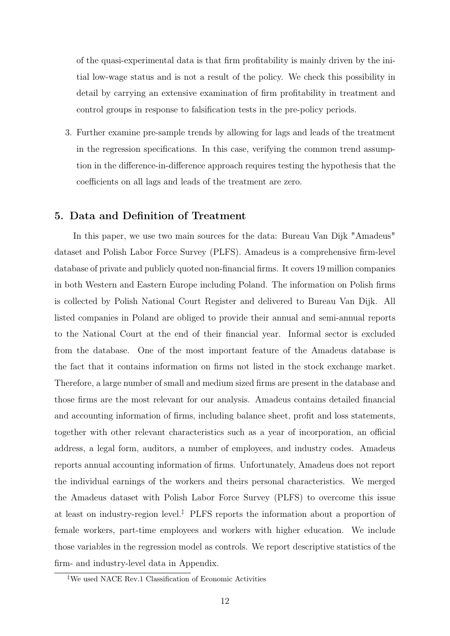of the quasi-experimental data is that firm profitability is mainly driven by the initial low-wage status and is not a result of the policy. We check this possibility in detail by carrying an extensive examination of firm profitability in treatment and control groups in response to falsification tests in the pre-policy periods.

3. Further examine pre-sample trends by allowing for lags and leads of the treatment in the regression specifications. In this case, verifying the common trend assumption in the difference-in-difference approach requires testing the hypothesis that the coefficients on all lags and leads of the treatment are zero.

# 5. Data and Definition of Treatment

In this paper, we use two main sources for the data: Bureau Van Dijk "Amadeus" dataset and Polish Labor Force Survey (PLFS). Amadeus is a comprehensive firm-level database of private and publicly quoted non-financial firms. It covers 19 million companies in both Western and Eastern Europe including Poland. The information on Polish firms is collected by Polish National Court Register and delivered to Bureau Van Dijk. All listed companies in Poland are obliged to provide their annual and semi-annual reports to the National Court at the end of their financial year. Informal sector is excluded from the database. One of the most important feature of the Amadeus database is the fact that it contains information on firms not listed in the stock exchange market. Therefore, a large number of small and medium sized firms are present in the database and those firms are the most relevant for our analysis. Amadeus contains detailed financial and accounting information of firms, including balance sheet, profit and loss statements, together with other relevant characteristics such as a year of incorporation, an official address, a legal form, auditors, a number of employees, and industry codes. Amadeus reports annual accounting information of firms. Unfortunately, Amadeus does not report the individual earnings of the workers and theirs personal characteristics. We merged the Amadeus dataset with Polish Labor Force Survey (PLFS) to overcome this issue at least on industry-region level.<sup> $\ddagger$ </sup> PLFS reports the information about a proportion of female workers, part-time employees and workers with higher education. We include those variables in the regression model as controls. We report descriptive statistics of the firm- and industry-level data in Appendix.

<sup>‡</sup>We used NACE Rev.1 Classification of Economic Activities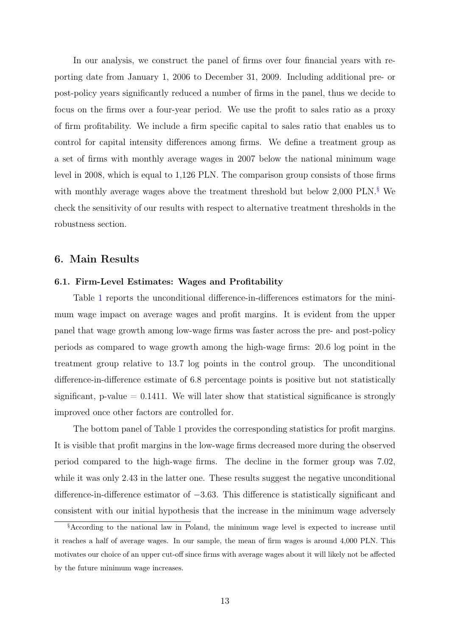In our analysis, we construct the panel of firms over four financial years with reporting date from January 1, 2006 to December 31, 2009. Including additional pre- or post-policy years significantly reduced a number of firms in the panel, thus we decide to focus on the firms over a four-year period. We use the profit to sales ratio as a proxy of firm profitability. We include a firm specific capital to sales ratio that enables us to control for capital intensity differences among firms. We define a treatment group as a set of firms with monthly average wages in 2007 below the national minimum wage level in 2008, which is equal to 1,126 PLN. The comparison group consists of those firms with monthly average wages above the treatment threshold but below 2,000 PLN.[§](#page-3-0) We check the sensitivity of our results with respect to alternative treatment thresholds in the robustness section.

## 6. Main Results

#### 6.1. Firm-Level Estimates: Wages and Profitability

Table [1](#page-16-0) reports the unconditional difference-in-differences estimators for the minimum wage impact on average wages and profit margins. It is evident from the upper panel that wage growth among low-wage firms was faster across the pre- and post-policy periods as compared to wage growth among the high-wage firms: 20.6 log point in the treatment group relative to 13.7 log points in the control group. The unconditional difference-in-difference estimate of 6.8 percentage points is positive but not statistically significant,  $p-value = 0.1411$ . We will later show that statistical significance is strongly improved once other factors are controlled for.

The bottom panel of Table [1](#page-16-0) provides the corresponding statistics for profit margins. It is visible that profit margins in the low-wage firms decreased more during the observed period compared to the high-wage firms. The decline in the former group was 7.02, while it was only 2.43 in the latter one. These results suggest the negative unconditional difference-in-difference estimator of −3.63. This difference is statistically significant and consistent with our initial hypothesis that the increase in the minimum wage adversely

<sup>§</sup>According to the national law in Poland, the minimum wage level is expected to increase until it reaches a half of average wages. In our sample, the mean of firm wages is around 4,000 PLN. This motivates our choice of an upper cut-off since firms with average wages about it will likely not be affected by the future minimum wage increases.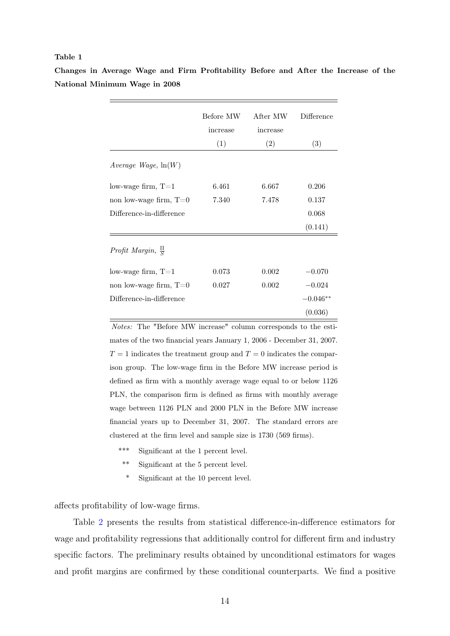#### <span id="page-16-0"></span>Table 1

|                                | Before MW<br>increase | After MW<br>increase | Difference |
|--------------------------------|-----------------------|----------------------|------------|
|                                | (1)                   | (2)                  | (3)        |
| Average Wage, $ln(W)$          |                       |                      |            |
| low-wage firm, $T=1$           | 6.461                 | 6.667                | 0.206      |
| non low-wage firm, $T=0$       | 7.340                 | 7.478                | 0.137      |
| Difference-in-difference       |                       |                      | 0.068      |
|                                |                       |                      | (0.141)    |
| Profit Margin, $\frac{\Pi}{S}$ |                       |                      |            |
| low-wage firm, $T=1$           | 0.073                 | 0.002                | $-0.070$   |
| non low-wage firm, $T=0$       | 0.027                 | 0.002                | $-0.024$   |
| Difference-in-difference       |                       |                      | $-0.046**$ |
|                                |                       |                      | (0.036)    |

Changes in Average Wage and Firm Profitability Before and After the Increase of the National Minimum Wage in 2008

> $Notes:$  The "Before MW increase" column corresponds to the estimates of the two financial years January 1, 2006 - December 31, 2007.  $T = 1$  indicates the treatment group and  $T = 0$  indicates the comparison group. The low-wage firm in the Before MW increase period is defined as firm with a monthly average wage equal to or below 1126 PLN, the comparison firm is defined as firms with monthly average wage between 1126 PLN and 2000 PLN in the Before MW increase financial years up to December 31, 2007. The standard errors are clustered at the firm level and sample size is 1730 (569 firms).

- \*\*\* Significant at the 1 percent level.
- \*\* Significant at the 5 percent level.
- \* Significant at the 10 percent level.

affects profitability of low-wage firms.

Table [2](#page-17-0) presents the results from statistical difference-in-difference estimators for wage and profitability regressions that additionally control for different firm and industry specific factors. The preliminary results obtained by unconditional estimators for wages and profit margins are confirmed by these conditional counterparts. We find a positive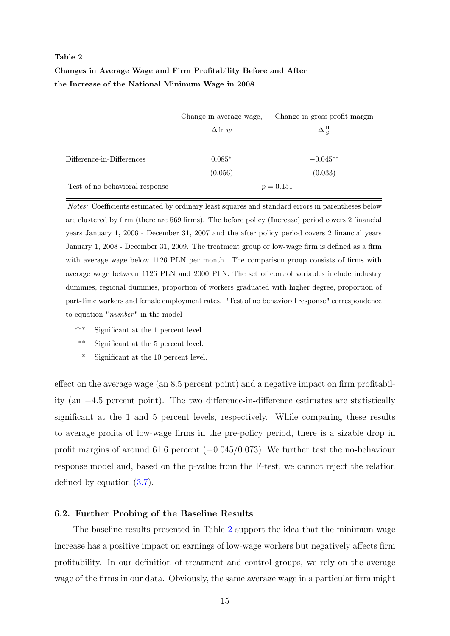# <span id="page-17-0"></span>Table 2 Changes in Average Wage and Firm Profitability Before and After the Increase of the National Minimum Wage in 2008

|                                | Change in average wage,<br>$\Delta \ln w$ | Change in gross profit margin<br>$\Delta \frac{\Pi}{S}$ |
|--------------------------------|-------------------------------------------|---------------------------------------------------------|
| Difference-in-Differences      | $0.085*$                                  | $-0.045**$                                              |
|                                | (0.056)                                   | (0.033)                                                 |
| Test of no behavioral response |                                           | $p = 0.151$                                             |

Notes: Coefficients estimated by ordinary least squares and standard errors in parentheses below are clustered by firm (there are 569 firms). The before policy (Increase) period covers 2 financial years January 1, 2006 - December 31, 2007 and the after policy period covers 2 financial years January 1, 2008 - December 31, 2009. The treatment group or low-wage firm is defined as a firm with average wage below 1126 PLN per month. The comparison group consists of firms with average wage between 1126 PLN and 2000 PLN. The set of control variables include industry dummies, regional dummies, proportion of workers graduated with higher degree, proportion of part-time workers and female employment rates. "Test of no behavioral response" correspondence to equation "number" in the model

- \*\*\* Significant at the 1 percent level.
- \*\* Significant at the 5 percent level.
- Significant at the 10 percent level.

effect on the average wage (an 8.5 percent point) and a negative impact on firm profitability (an −4.5 percent point). The two difference-in-difference estimates are statistically significant at the 1 and 5 percent levels, respectively. While comparing these results to average profits of low-wage firms in the pre-policy period, there is a sizable drop in profit margins of around 61.6 percent (−0.045/0.073). We further test the no-behaviour response model and, based on the p-value from the F-test, we cannot reject the relation defined by equation [\(3.7\)](#page-11-1).

#### 6.2. Further Probing of the Baseline Results

The baseline results presented in Table [2](#page-17-0) support the idea that the minimum wage increase has a positive impact on earnings of low-wage workers but negatively affects firm profitability. In our definition of treatment and control groups, we rely on the average wage of the firms in our data. Obviously, the same average wage in a particular firm might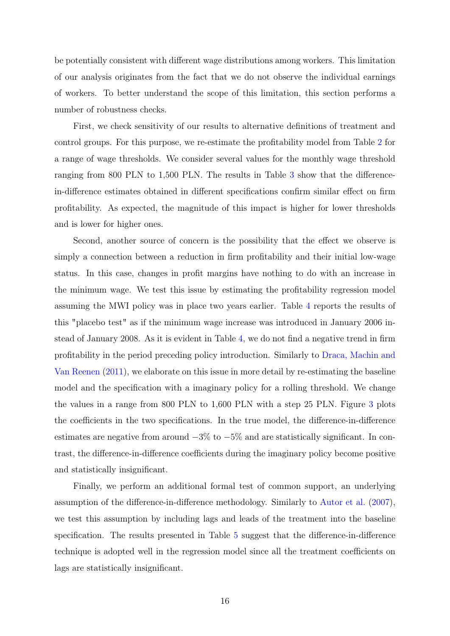be potentially consistent with different wage distributions among workers. This limitation of our analysis originates from the fact that we do not observe the individual earnings of workers. To better understand the scope of this limitation, this section performs a number of robustness checks.

First, we check sensitivity of our results to alternative definitions of treatment and control groups. For this purpose, we re-estimate the profitability model from Table [2](#page-17-0) for a range of wage thresholds. We consider several values for the monthly wage threshold ranging from 800 PLN to 1,500 PLN. The results in Table [3](#page-19-0) show that the differencein-difference estimates obtained in different specifications confirm similar effect on firm profitability. As expected, the magnitude of this impact is higher for lower thresholds and is lower for higher ones.

Second, another source of concern is the possibility that the effect we observe is simply a connection between a reduction in firm profitability and their initial low-wage status. In this case, changes in profit margins have nothing to do with an increase in the minimum wage. We test this issue by estimating the profitability regression model assuming the MWI policy was in place two years earlier. Table [4](#page-20-0) reports the results of this "placebo test" as if the minimum wage increase was introduced in January 2006 instead of January 2008. As it is evident in Table [4,](#page-20-0) we do not find a negative trend in firm profitability in the period preceding policy introduction. Similarly to [Draca, Machin and](#page-22-0) [Van Reenen](#page-22-0) [\(2011\)](#page-22-0), we elaborate on this issue in more detail by re-estimating the baseline model and the specification with a imaginary policy for a rolling threshold. We change the values in a range from 800 PLN to 1,600 PLN with a step 25 PLN. Figure [3](#page-21-0) plots the coefficients in the two specifications. In the true model, the difference-in-difference estimates are negative from around  $-3\%$  to  $-5\%$  and are statistically significant. In contrast, the difference-in-difference coefficients during the imaginary policy become positive and statistically insignificant.

Finally, we perform an additional formal test of common support, an underlying assumption of the difference-in-difference methodology. Similarly to [Autor et al.](#page-22-14) [\(2007\)](#page-22-14), we test this assumption by including lags and leads of the treatment into the baseline specification. The results presented in Table [5](#page-26-0) suggest that the difference-in-difference technique is adopted well in the regression model since all the treatment coefficients on lags are statistically insignificant.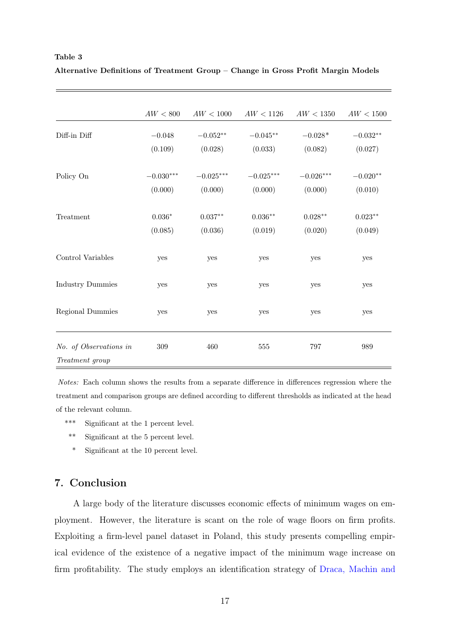#### <span id="page-19-0"></span>Table 3

| Alternative Definitions of Treatment Group - Change in Gross Profit Margin Models |  |  |  |  |
|-----------------------------------------------------------------------------------|--|--|--|--|
|                                                                                   |  |  |  |  |

|                         | AW < 800       | AW < 1000   | AW < 1126   | AW < 1350   | AW < 1500  |
|-------------------------|----------------|-------------|-------------|-------------|------------|
| Diff-in Diff            | $-0.048$       | $-0.052**$  | $-0.045**$  | $-0.028*$   | $-0.032**$ |
|                         | (0.109)        | (0.028)     | (0.033)     | (0.082)     | (0.027)    |
| Policy On               | $-0.030***$    | $-0.025***$ | $-0.025***$ | $-0.026***$ | $-0.020**$ |
|                         | (0.000)        | (0.000)     | (0.000)     | (0.000)     | (0.010)    |
| Treatment               | $0.036^{\ast}$ | $0.037**$   | $0.036**$   | $0.028**$   | $0.023**$  |
|                         | (0.085)        | (0.036)     | (0.019)     | (0.020)     | (0.049)    |
| Control Variables       | yes            | yes         | yes         | yes         | yes        |
| <b>Industry Dummies</b> | yes            | yes         | yes         | yes         | yes        |
| Regional Dummies        | yes            | yes         | yes         | yes         | yes        |
| No. of Observations in  | 309            | 460         | 555         | 797         | 989        |
| Treatment group         |                |             |             |             |            |

Notes: Each column shows the results from a separate difference in differences regression where the treatment and comparison groups are defined according to different thresholds as indicated at the head of the relevant column.

- \*\*\* Significant at the 1 percent level.
- \*\* Significant at the 5 percent level.
- \* Significant at the 10 percent level.

# 7. Conclusion

A large body of the literature discusses economic effects of minimum wages on employment. However, the literature is scant on the role of wage floors on firm profits. Exploiting a firm-level panel dataset in Poland, this study presents compelling empirical evidence of the existence of a negative impact of the minimum wage increase on firm profitability. The study employs an identification strategy of [Draca, Machin and](#page-22-0)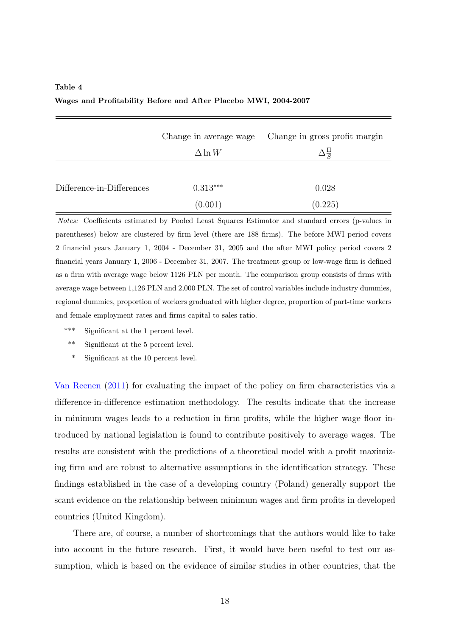# <span id="page-20-0"></span>Table 4 Wages and Profitability Before and After Placebo MWI, 2004-2007

|                           | Change in average wage<br>$\Delta \ln W$ | Change in gross profit margin<br>$\Delta \frac{\Pi}{S}$ |
|---------------------------|------------------------------------------|---------------------------------------------------------|
| Difference-in-Differences | $0.313***$                               | 0.028                                                   |
|                           | (0.001)                                  | (0.225)                                                 |

Notes: Coefficients estimated by Pooled Least Squares Estimator and standard errors (p-values in parentheses) below are clustered by firm level (there are 188 firms). The before MWI period covers 2 financial years January 1, 2004 - December 31, 2005 and the after MWI policy period covers 2 financial years January 1, 2006 - December 31, 2007. The treatment group or low-wage firm is defined as a firm with average wage below 1126 PLN per month. The comparison group consists of firms with average wage between 1,126 PLN and 2,000 PLN. The set of control variables include industry dummies, regional dummies, proportion of workers graduated with higher degree, proportion of part-time workers and female employment rates and firms capital to sales ratio.

- \*\*\* Significant at the 1 percent level.
- \*\* Significant at the 5 percent level.
- Significant at the 10 percent level.

[Van Reenen](#page-22-0) [\(2011\)](#page-22-0) for evaluating the impact of the policy on firm characteristics via a difference-in-difference estimation methodology. The results indicate that the increase in minimum wages leads to a reduction in firm profits, while the higher wage floor introduced by national legislation is found to contribute positively to average wages. The results are consistent with the predictions of a theoretical model with a profit maximizing firm and are robust to alternative assumptions in the identification strategy. These findings established in the case of a developing country (Poland) generally support the scant evidence on the relationship between minimum wages and firm profits in developed countries (United Kingdom).

There are, of course, a number of shortcomings that the authors would like to take into account in the future research. First, it would have been useful to test our assumption, which is based on the evidence of similar studies in other countries, that the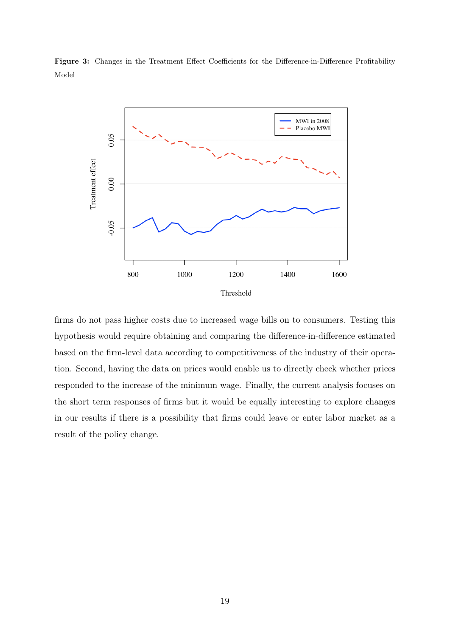<span id="page-21-0"></span>Figure 3: Changes in the Treatment Effect Coefficients for the Difference-in-Difference Profitability Model



firms do not pass higher costs due to increased wage bills on to consumers. Testing this hypothesis would require obtaining and comparing the difference-in-difference estimated based on the firm-level data according to competitiveness of the industry of their operation. Second, having the data on prices would enable us to directly check whether prices responded to the increase of the minimum wage. Finally, the current analysis focuses on the short term responses of firms but it would be equally interesting to explore changes in our results if there is a possibility that firms could leave or enter labor market as a result of the policy change.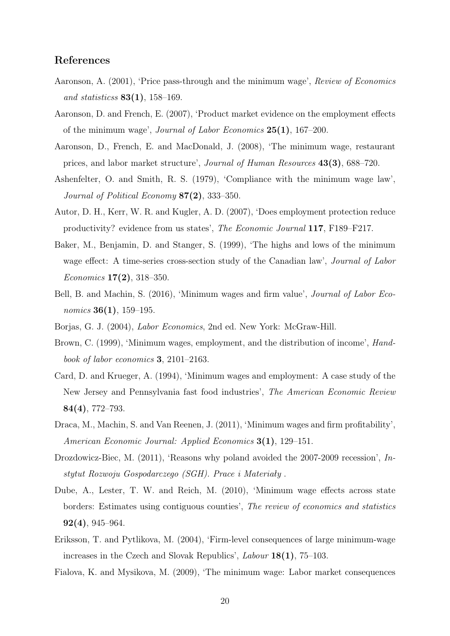## References

- <span id="page-22-9"></span>Aaronson, A. (2001), 'Price pass-through and the minimum wage', Review of Economics and statisticss  $83(1)$ , 158-169.
- <span id="page-22-4"></span>Aaronson, D. and French, E. (2007), 'Product market evidence on the employment effects of the minimum wage', Journal of Labor Economics  $25(1)$ , 167–200.
- <span id="page-22-10"></span>Aaronson, D., French, E. and MacDonald, J. (2008), 'The minimum wage, restaurant prices, and labor market structure', Journal of Human Resources 43(3), 688–720.
- <span id="page-22-13"></span>Ashenfelter, O. and Smith, R. S. (1979), 'Compliance with the minimum wage law', Journal of Political Economy 87(2), 333–350.
- <span id="page-22-14"></span>Autor, D. H., Kerr, W. R. and Kugler, A. D. (2007), 'Does employment protection reduce productivity? evidence from us states', The Economic Journal 117, F189–F217.
- <span id="page-22-3"></span>Baker, M., Benjamin, D. and Stanger, S. (1999), 'The highs and lows of the minimum wage effect: A time-series cross-section study of the Canadian law', *Journal of Labor Economics* **17(2)**, 318–350.
- <span id="page-22-11"></span>Bell, B. and Machin, S. (2016), 'Minimum wages and firm value', Journal of Labor Economics **36(1)**, 159–195.
- <span id="page-22-2"></span><span id="page-22-1"></span>Borjas, G. J. (2004), Labor Economics, 2nd ed. New York: McGraw-Hill.
- Brown, C. (1999), 'Minimum wages, employment, and the distribution of income', Handbook of labor economics 3, 2101–2163.
- <span id="page-22-6"></span>Card, D. and Krueger, A. (1994), 'Minimum wages and employment: A case study of the New Jersey and Pennsylvania fast food industries', The American Economic Review 84(4), 772–793.
- <span id="page-22-0"></span>Draca, M., Machin, S. and Van Reenen, J. (2011), 'Minimum wages and firm profitability', American Economic Journal: Applied Economics 3(1), 129–151.
- <span id="page-22-12"></span>Drozdowicz-Biec, M. (2011), 'Reasons why poland avoided the 2007-2009 recession', Instytut Rozwoju Gospodarczego (SGH). Prace i Materiały .
- <span id="page-22-5"></span>Dube, A., Lester, T. W. and Reich, M. (2010), 'Minimum wage effects across state borders: Estimates using contiguous counties', The review of economics and statistics  $92(4)$ , 945–964.
- <span id="page-22-8"></span>Eriksson, T. and Pytlikova, M. (2004), 'Firm-level consequences of large minimum-wage increases in the Czech and Slovak Republics', Labour 18(1), 75–103.
- <span id="page-22-7"></span>Fialova, K. and Mysikova, M. (2009), 'The minimum wage: Labor market consequences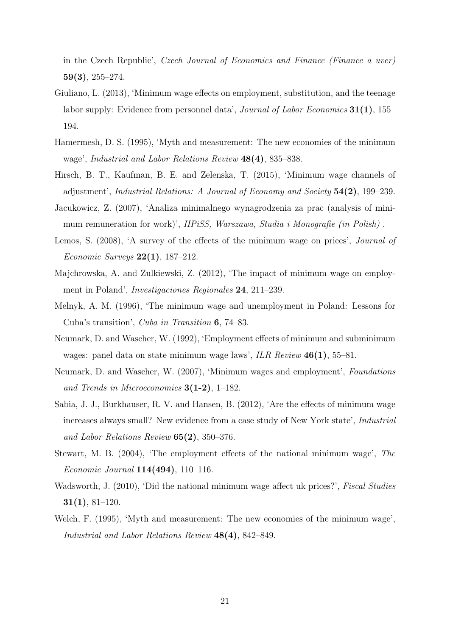in the Czech Republic', Czech Journal of Economics and Finance (Finance a uver) 59(3), 255–274.

- <span id="page-23-7"></span>Giuliano, L. (2013), 'Minimum wage effects on employment, substitution, and the teenage labor supply: Evidence from personnel data', *Journal of Labor Economics* **31(1)**, 155– 194.
- <span id="page-23-4"></span>Hamermesh, D. S. (1995), 'Myth and measurement: The new economies of the minimum wage', Industrial and Labor Relations Review 48(4), 835–838.
- <span id="page-23-8"></span>Hirsch, B. T., Kaufman, B. E. and Zelenska, T. (2015), 'Minimum wage channels of adjustment', Industrial Relations: A Journal of Economy and Society 54(2), 199–239.
- <span id="page-23-10"></span>Jacukowicz, Z. (2007), 'Analiza minimalnego wynagrodzenia za prac (analysis of minimum remuneration for work)', *IIPiSS*, *Warszawa*, *Studia i Monografie (in Polish)*.
- <span id="page-23-0"></span>Lemos, S. (2008), 'A survey of the effects of the minimum wage on prices', Journal of Economic Surveys  $22(1)$ , 187–212.
- <span id="page-23-11"></span>Majchrowska, A. and Zulkiewski, Z. (2012), 'The impact of minimum wage on employment in Poland', Investigaciones Regionales 24, 211–239.
- <span id="page-23-9"></span>Melnyk, A. M. (1996), 'The minimum wage and unemployment in Poland: Lessons for Cuba's transition', Cuba in Transition 6, 74–83.
- <span id="page-23-1"></span>Neumark, D. and Wascher, W. (1992), 'Employment effects of minimum and subminimum wages: panel data on state minimum wage laws', ILR Review  $46(1)$ , 55–81.
- <span id="page-23-2"></span>Neumark, D. and Wascher, W. (2007), 'Minimum wages and employment', Foundations and Trends in Microeconomics  $3(1-2)$ , 1-182.
- <span id="page-23-3"></span>Sabia, J. J., Burkhauser, R. V. and Hansen, B. (2012), 'Are the effects of minimum wage increases always small? New evidence from a case study of New York state', Industrial and Labor Relations Review 65(2), 350–376.
- <span id="page-23-6"></span>Stewart, M. B. (2004), 'The employment effects of the national minimum wage', The *Economic Journal*  $114(494)$ ,  $110-116$ .
- <span id="page-23-12"></span>Wadsworth, J. (2010), 'Did the national minimum wage affect uk prices?', Fiscal Studies 31(1), 81–120.
- <span id="page-23-5"></span>Welch, F. (1995), 'Myth and measurement: The new economies of the minimum wage', Industrial and Labor Relations Review 48(4), 842–849.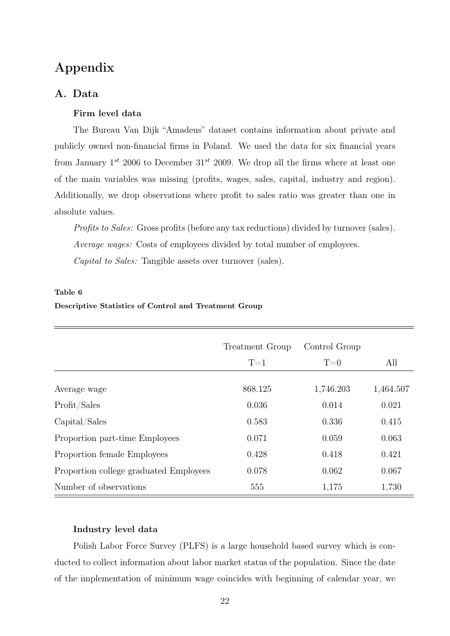# Appendix

## A. Data

## Firm level data

The Bureau Van Dijk "Amadeus" dataset contains information about private and publicly owned non-financial firms in Poland. We used the data for six financial years from January  $1^{st}$  2006 to December  $31^{st}$  2009. We drop all the firms where at least one of the main variables was missing (profits, wages, sales, capital, industry and region). Additionally, we drop observations where profit to sales ratio was greater than one in absolute values.

Profits to Sales: Gross profits (before any tax reductions) divided by turnover (sales). Average wages: Costs of employees divided by total number of employees. Capital to Sales: Tangible assets over turnover (sales).

#### Table 6

# Treatment Group Control Group  $T=1$   $T=0$  All Average wage 868.125 1,746.203 1,464.507 Profit/Sales 0.036 0.014 0.021 Capital/Sales 0.583 0.336 0.415 Proportion part-time Employees 0.071 0.059 0.063 Proportion female Employees 0.428 0.418 0.421 Proportion college graduated Employees  $0.078$  0.062 0.067 Number of observations 555 1,175 1,730

## Descriptive Statistics of Control and Treatment Group

#### Industry level data

Polish Labor Force Survey (PLFS) is a large household based survey which is conducted to collect information about labor market status of the population. Since the date of the implementation of minimum wage coincides with beginning of calendar year, we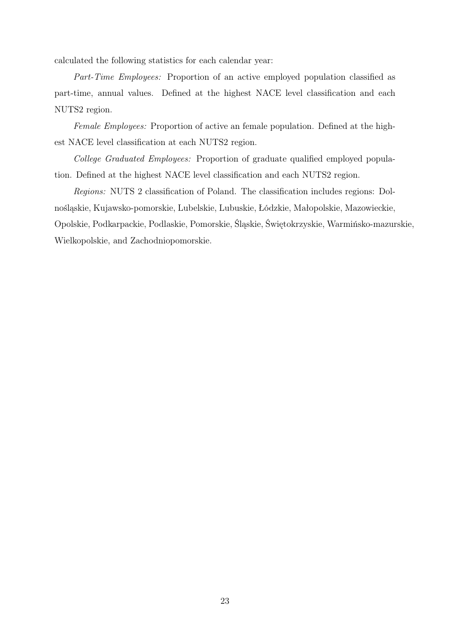calculated the following statistics for each calendar year:

Part-Time Employees: Proportion of an active employed population classified as part-time, annual values. Defined at the highest NACE level classification and each NUTS2 region.

Female Employees: Proportion of active an female population. Defined at the highest NACE level classification at each NUTS2 region.

College Graduated Employees: Proportion of graduate qualified employed population. Defined at the highest NACE level classification and each NUTS2 region.

Regions: NUTS 2 classification of Poland. The classification includes regions: Dolnośląskie, Kujawsko-pomorskie, Lubelskie, Lubuskie, Łódzkie, Małopolskie, Mazowieckie, Opolskie, Podkarpackie, Podlaskie, Pomorskie, Śląskie, Świętokrzyskie, Warmińsko-mazurskie, Wielkopolskie, and Zachodniopomorskie.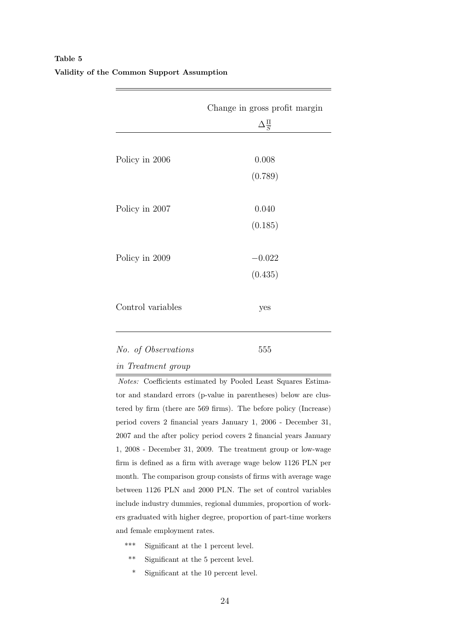|                           | Change in gross profit margin<br>$\Delta_{\overline{S}}^{\Pi}$ |
|---------------------------|----------------------------------------------------------------|
| Policy in 2006            | 0.008                                                          |
|                           | (0.789)                                                        |
| Policy in 2007            | 0.040                                                          |
|                           | (0.185)                                                        |
| Policy in 2009            | $-0.022$                                                       |
|                           | (0.435)                                                        |
| Control variables         | yes                                                            |
| No. of Observations       | 555                                                            |
| <i>in Treatment group</i> |                                                                |

# <span id="page-26-0"></span>Table 5 Validity of the Common Support Assumption

Notes: Coefficients estimated by Pooled Least Squares Estimator and standard errors (p-value in parentheses) below are clustered by firm (there are 569 firms). The before policy (Increase) period covers 2 financial years January 1, 2006 - December 31, 2007 and the after policy period covers 2 financial years January 1, 2008 - December 31, 2009. The treatment group or low-wage firm is defined as a firm with average wage below 1126 PLN per month. The comparison group consists of firms with average wage between 1126 PLN and 2000 PLN. The set of control variables include industry dummies, regional dummies, proportion of workers graduated with higher degree, proportion of part-time workers and female employment rates.

- \*\*\* Significant at the 1 percent level.
- \*\* Significant at the 5 percent level.
- \* Significant at the 10 percent level.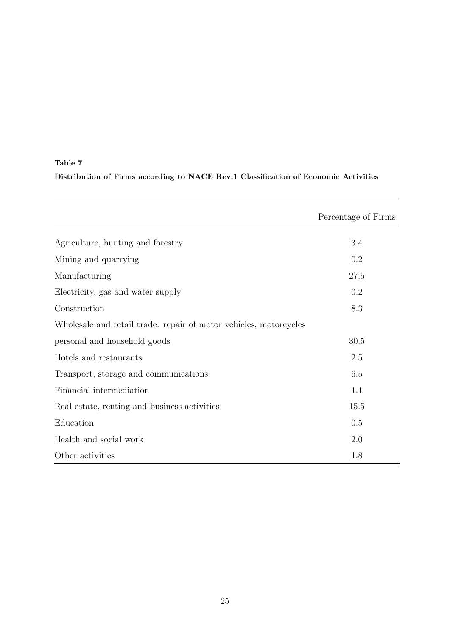# Table 7 Distribution of Firms according to NACE Rev.1 Classification of Economic Activities

|                                                                   | Percentage of Firms |
|-------------------------------------------------------------------|---------------------|
| Agriculture, hunting and forestry                                 | 3.4                 |
| Mining and quarrying                                              | 0.2                 |
| Manufacturing                                                     | 27.5                |
| Electricity, gas and water supply                                 | 0.2                 |
| Construction                                                      | 8.3                 |
| Wholesale and retail trade: repair of motor vehicles, motorcycles |                     |
| personal and household goods                                      | 30.5                |
| Hotels and restaurants                                            | 2.5                 |
| Transport, storage and communications                             | 6.5                 |
| Financial intermediation                                          | 1.1                 |
| Real estate, renting and business activities                      | 15.5                |
| Education                                                         | 0.5                 |
| Health and social work                                            | 2.0                 |
| Other activities                                                  | 1.8                 |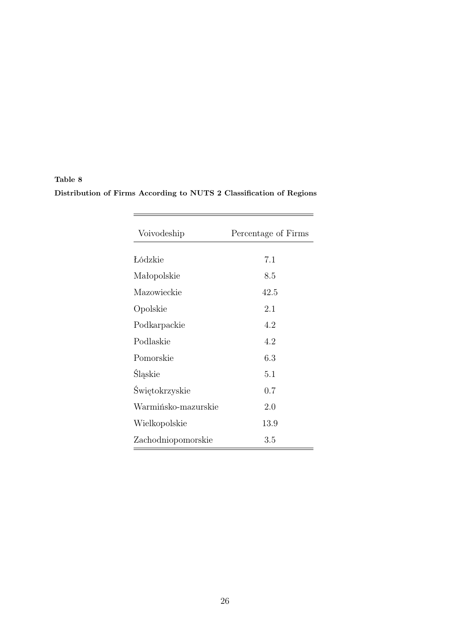| Table 8                                                             |  |  |
|---------------------------------------------------------------------|--|--|
| Distribution of Firms According to NUTS 2 Classification of Regions |  |  |

| Voivodeship         | Percentage of Firms |
|---------------------|---------------------|
| Łódzkie             | 7.1                 |
| Małopolskie         | 8.5                 |
| Mazowieckie         | 42.5                |
| Opolskie            | 2.1                 |
| Podkarpackie        | 4.2                 |
| Podlaskie           | 4.2                 |
| Pomorskie           | 6.3                 |
| Śląskie             | 5.1                 |
| Świętokrzyskie      | 0.7                 |
| Warmińsko-mazurskie | 2.0                 |
| Wielkopolskie       | 13.9                |
| Zachodniopomorskie  | 3.5                 |